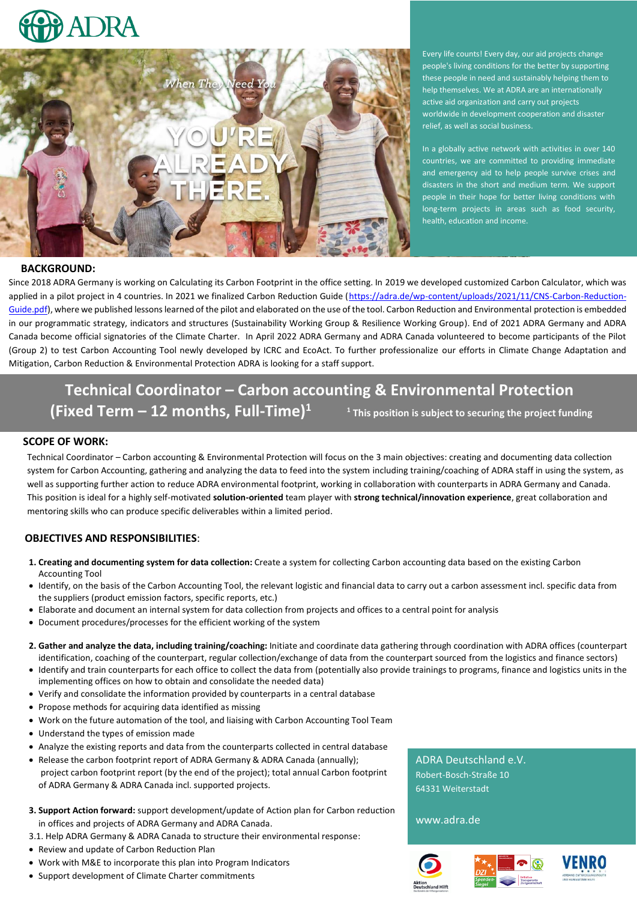



Every life counts! Every day, our aid projects change people's living conditions for the better by supporting these people in need and sustainably helping them to help themselves. We at ADRA are an internationally active aid organization and carry out projects worldwide in development cooperation and disaster relief, as well as social business.

In a globally active network with activities in over 140 countries, we are committed to providing immediate and emergency aid to help people survive crises and disasters in the short and medium term. We support people in their hope for better living conditions with long-term projects in areas such as food security, health, education and income.

### **BACKGROUND:**

Since 2018 ADRA Germany is working on Calculating its Carbon Footprint in the office setting. In 2019 we developed customized Carbon Calculator, which was applied in a pilot project in 4 countries. In 2021 we finalized Carbon Reduction Guide [\(https://adra.de/wp-content/uploads/2021/11/CNS-Carbon-Reduction-](https://adra.de/wp-content/uploads/2021/11/CNS-Carbon-Reduction-Guide.pdf)[Guide.pdf\)](https://adra.de/wp-content/uploads/2021/11/CNS-Carbon-Reduction-Guide.pdf), where we published lessons learned of the pilot and elaborated on the use of the tool. Carbon Reduction and Environmental protection is embedded in our programmatic strategy, indicators and structures (Sustainability Working Group & Resilience Working Group). End of 2021 ADRA Germany and ADRA Canada become official signatories of the Climate Charter. In April 2022 ADRA Germany and ADRA Canada volunteered to become participants of the Pilot (Group 2) to test Carbon Accounting Tool newly developed by ICRC and EcoAct. To further professionalize our efforts in Climate Change Adaptation and Mitigation, Carbon Reduction & Environmental Protection ADRA is looking for a staff support.

# **Technical Coordinator – Carbon accounting & Environmental Protection (Fixed Term – 12 months, Full-Time)<sup>1</sup> <sup>1</sup> This position is subject to securing the project funding**

## **SCOPE OF WORK:**

Technical Coordinator – Carbon accounting & Environmental Protection will focus on the 3 main objectives: creating and documenting data collection system for Carbon Accounting, gathering and analyzing the data to feed into the system including training/coaching of ADRA staff in using the system, as well as supporting further action to reduce ADRA environmental footprint, working in collaboration with counterparts in ADRA Germany and Canada. This position is ideal for a highly self-motivated **solution-oriented** team player with **strong technical/innovation experience**, great collaboration and mentoring skills who can produce specific deliverables within a limited period.

# **OBJECTIVES AND RESPONSIBILITIES**:

- **1. Creating and documenting system for data collection:** Create a system for collecting Carbon accounting data based on the existing Carbon Accounting Tool
- Identify, on the basis of the Carbon Accounting Tool, the relevant logistic and financial data to carry out a carbon assessment incl. specific data from the suppliers (product emission factors, specific reports, etc.)
- Elaborate and document an internal system for data collection from projects and offices to a central point for analysis
- Document procedures/processes for the efficient working of the system
- **2. Gather and analyze the data, including training/coaching:** Initiate and coordinate data gathering through coordination with ADRA offices (counterpart identification, coaching of the counterpart, regular collection/exchange of data from the counterpart sourced from the logistics and finance sectors)
- Identify and train counterparts for each office to collect the data from (potentially also provide trainings to programs, finance and logistics units in the implementing offices on how to obtain and consolidate the needed data)
- Verify and consolidate the information provided by counterparts in a central database
- Propose methods for acquiring data identified as missing
- Work on the future automation of the tool, and liaising with Carbon Accounting Tool Team
- Understand the types of emission made
- Analyze the existing reports and data from the counterparts collected in central database
- Release the carbon footprint report of ADRA Germany & ADRA Canada (annually); project carbon footprint report (by the end of the project); total annual Carbon footprint of ADRA Germany & ADRA Canada incl. supported projects.
- **3. Support Action forward:** support development/update of Action plan for Carbon reduction in offices and projects of ADRA Germany and ADRA Canada.
- 3.1. Help ADRA Germany & ADRA Canada to structure their environmental response:
- Review and update of Carbon Reduction Plan
- Work with M&E to incorporate this plan into Program Indicators
- Support development of Climate Charter commitments

ADRA Deutschland e.V. Robert-Bosch-Straße 10 64331 Weiterstadt

www.adra.de